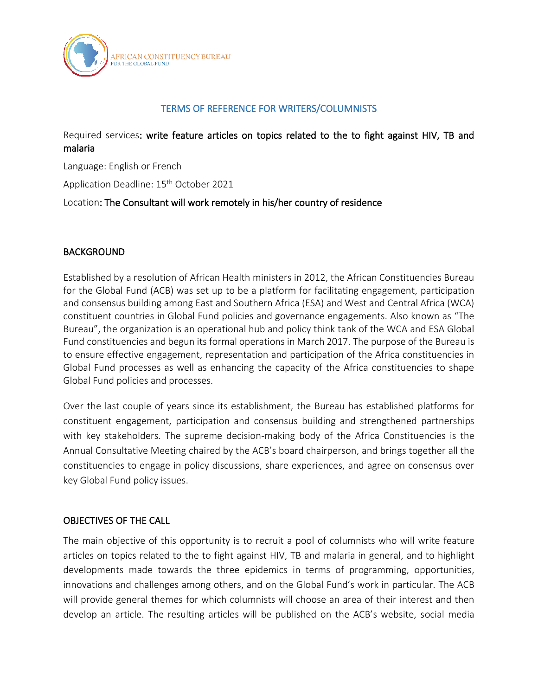

# TERMS OF REFERENCE FOR WRITERS/COLUMNISTS

Required services: write feature articles on topics related to the to fight against HIV, TB and malaria

Language: English or French

Application Deadline: 15<sup>th</sup> October 2021

Location: The Consultant will work remotely in his/her country of residence

## BACKGROUND

Established by a resolution of African Health ministers in 2012, the African Constituencies Bureau for the Global Fund (ACB) was set up to be a platform for facilitating engagement, participation and consensus building among East and Southern Africa (ESA) and West and Central Africa (WCA) constituent countries in Global Fund policies and governance engagements. Also known as "The Bureau", the organization is an operational hub and policy think tank of the WCA and ESA Global Fund constituencies and begun its formal operations in March 2017. The purpose of the Bureau is to ensure effective engagement, representation and participation of the Africa constituencies in Global Fund processes as well as enhancing the capacity of the Africa constituencies to shape Global Fund policies and processes.

Over the last couple of years since its establishment, the Bureau has established platforms for constituent engagement, participation and consensus building and strengthened partnerships with key stakeholders. The supreme decision-making body of the Africa Constituencies is the Annual Consultative Meeting chaired by the ACB's board chairperson, and brings together all the constituencies to engage in policy discussions, share experiences, and agree on consensus over key Global Fund policy issues.

## OBJECTIVES OF THE CALL

The main objective of this opportunity is to recruit a pool of columnists who will write feature articles on topics related to the to fight against HIV, TB and malaria in general, and to highlight developments made towards the three epidemics in terms of programming, opportunities, innovations and challenges among others, and on the Global Fund's work in particular. The ACB will provide general themes for which columnists will choose an area of their interest and then develop an article. The resulting articles will be published on the ACB's website, social media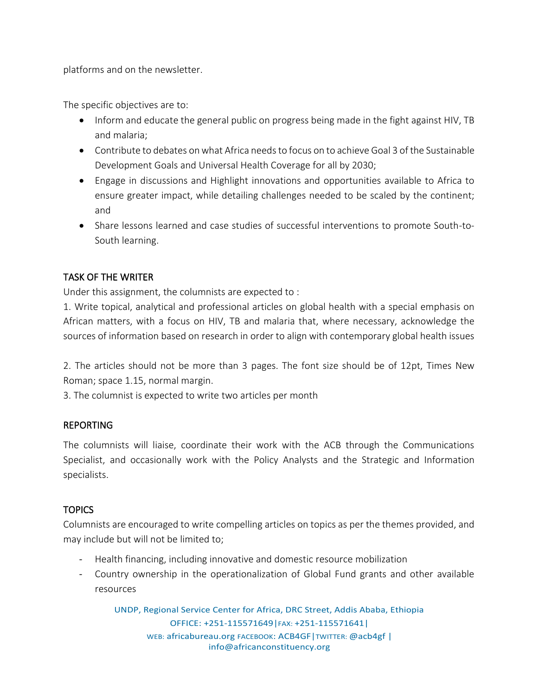platforms and on the newsletter.

The specific objectives are to:

- Inform and educate the general public on progress being made in the fight against HIV, TB and malaria;
- Contribute to debates on what Africa needs to focus on to achieve Goal 3 of the Sustainable Development Goals and Universal Health Coverage for all by 2030;
- Engage in discussions and Highlight innovations and opportunities available to Africa to ensure greater impact, while detailing challenges needed to be scaled by the continent; and
- Share lessons learned and case studies of successful interventions to promote South-to-South learning.

# TASK OF THE WRITER

Under this assignment, the columnists are expected to :

1. Write topical, analytical and professional articles on global health with a special emphasis on African matters, with a focus on HIV, TB and malaria that, where necessary, acknowledge the sources of information based on research in order to align with contemporary global health issues

2. The articles should not be more than 3 pages. The font size should be of 12pt, Times New Roman; space 1.15, normal margin.

3. The columnist is expected to write two articles per month

# REPORTING

The columnists will liaise, coordinate their work with the ACB through the Communications Specialist, and occasionally work with the Policy Analysts and the Strategic and Information specialists.

# **TOPICS**

Columnists are encouraged to write compelling articles on topics as per the themes provided, and may include but will not be limited to;

- Health financing, including innovative and domestic resource mobilization
- Country ownership in the operationalization of Global Fund grants and other available resources

UNDP, Regional Service Center for Africa, DRC Street, Addis Ababa, Ethiopia OFFICE: +251-115571649|FAX: +251-115571641| WEB: africabureau.org FACEBOOK: ACB4GF|TWITTER: @acb4gf | info@africanconstituency.org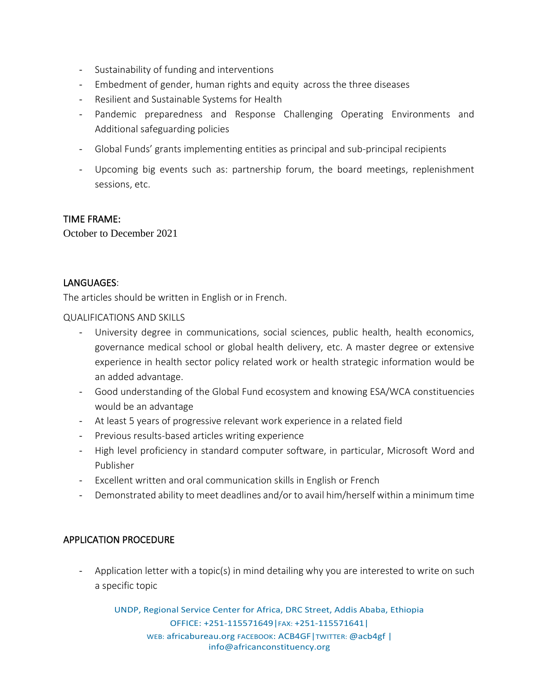- Sustainability of funding and interventions
- Embedment of gender, human rights and equity across the three diseases
- Resilient and Sustainable Systems for Health
- Pandemic preparedness and Response Challenging Operating Environments and Additional safeguarding policies
- Global Funds' grants implementing entities as principal and sub-principal recipients
- Upcoming big events such as: partnership forum, the board meetings, replenishment sessions, etc.

### TIME FRAME:

October to December 2021

## LANGUAGES:

The articles should be written in English or in French.

#### QUALIFICATIONS AND SKILLS

- University degree in communications, social sciences, public health, health economics, governance medical school or global health delivery, etc. A master degree or extensive experience in health sector policy related work or health strategic information would be an added advantage.
- Good understanding of the Global Fund ecosystem and knowing ESA/WCA constituencies would be an advantage
- At least 5 years of progressive relevant work experience in a related field
- Previous results-based articles writing experience
- High level proficiency in standard computer software, in particular, Microsoft Word and Publisher
- Excellent written and oral communication skills in English or French
- Demonstrated ability to meet deadlines and/or to avail him/herself within a minimum time

## APPLICATION PROCEDURE

- Application letter with a topic(s) in mind detailing why you are interested to write on such a specific topic

UNDP, Regional Service Center for Africa, DRC Street, Addis Ababa, Ethiopia OFFICE: +251-115571649|FAX: +251-115571641| WEB: africabureau.org FACEBOOK: ACB4GF|TWITTER: @acb4gf | info@africanconstituency.org